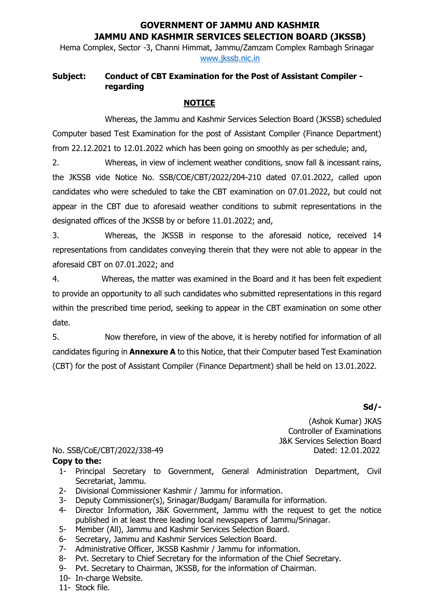## **GOVERNMENT OF JAMMU AND KASHMIR JAMMU AND KASHMIR SERVICES SELECTION BOARD (JKSSB)**

Hema Complex, Sector -3, Channi Himmat, Jammu/Zamzam Complex Rambagh Srinagar [www.jkssb.nic.in](http://www.jkssb.nic.in/)

## **Subject: Conduct of CBT Examination for the Post of Assistant Compiler regarding**

## **NOTICE**

Whereas, the Jammu and Kashmir Services Selection Board (JKSSB) scheduled Computer based Test Examination for the post of Assistant Compiler (Finance Department) from 22.12.2021 to 12.01.2022 which has been going on smoothly as per schedule; and,

2. Whereas, in view of inclement weather conditions, snow fall & incessant rains, the JKSSB vide Notice No. SSB/COE/CBT/2022/204-210 dated 07.01.2022, called upon candidates who were scheduled to take the CBT examination on 07.01.2022, but could not appear in the CBT due to aforesaid weather conditions to submit representations in the designated offices of the JKSSB by or before 11.01.2022; and,

3. Whereas, the JKSSB in response to the aforesaid notice, received 14 representations from candidates conveying therein that they were not able to appear in the aforesaid CBT on 07.01.2022; and

4. Whereas, the matter was examined in the Board and it has been felt expedient to provide an opportunity to all such candidates who submitted representations in this regard within the prescribed time period, seeking to appear in the CBT examination on some other date.

5. Now therefore, in view of the above, it is hereby notified for information of all candidates figuring in **Annexure A** to this Notice, that their Computer based Test Examination (CBT) for the post of Assistant Compiler (Finance Department) shall be held on 13.01.2022.

**Sd/-**

(Ashok Kumar) JKAS Controller of Examinations J&K Services Selection Board

## No. SSB/CoE/CBT/2022/338-49 Dated: 12.01.2022

- **Copy to the:**
	- 1- Principal Secretary to Government, General Administration Department, Civil Secretariat, Jammu.
	- 2- Divisional Commissioner Kashmir / Jammu for information.
	- 3- Deputy Commissioner(s), Srinagar/Budgam/ Baramulla for information.
	- 4- Director Information, J&K Government, Jammu with the request to get the notice published in at least three leading local newspapers of Jammu/Srinagar.
	- 5- Member (All), Jammu and Kashmir Services Selection Board.
	- 6- Secretary, Jammu and Kashmir Services Selection Board.
	- 7- Administrative Officer, JKSSB Kashmir / Jammu for information.
	- 8- Pvt. Secretary to Chief Secretary for the information of the Chief Secretary.
	- 9- Pvt. Secretary to Chairman, JKSSB, for the information of Chairman.
	- 10- In-charge Website.
	- 11- Stock file.